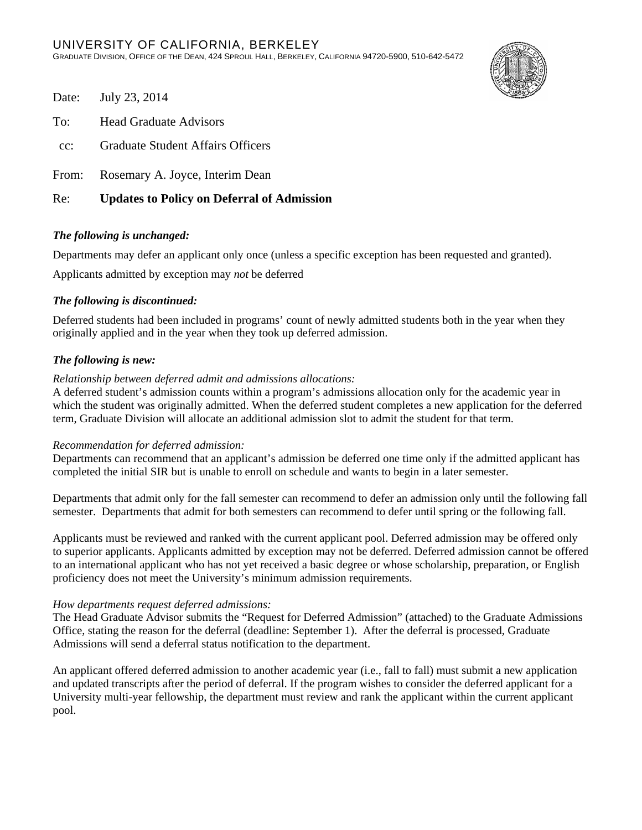

- Date: July 23, 2014
- To: Head Graduate Advisors
- cc: Graduate Student Affairs Officers
- From: Rosemary A. Joyce, Interim Dean

## Re: **Updates to Policy on Deferral of Admission**

## *The following is unchanged:*

Departments may defer an applicant only once (unless a specific exception has been requested and granted).

Applicants admitted by exception may *not* be deferred

## *The following is discontinued:*

Deferred students had been included in programs' count of newly admitted students both in the year when they originally applied and in the year when they took up deferred admission.

## *The following is new:*

#### *Relationship between deferred admit and admissions allocations:*

A deferred student's admission counts within a program's admissions allocation only for the academic year in which the student was originally admitted. When the deferred student completes a new application for the deferred term, Graduate Division will allocate an additional admission slot to admit the student for that term.

### *Recommendation for deferred admission:*

Departments can recommend that an applicant's admission be deferred one time only if the admitted applicant has completed the initial SIR but is unable to enroll on schedule and wants to begin in a later semester.

Departments that admit only for the fall semester can recommend to defer an admission only until the following fall semester. Departments that admit for both semesters can recommend to defer until spring or the following fall.

Applicants must be reviewed and ranked with the current applicant pool. Deferred admission may be offered only to superior applicants. Applicants admitted by exception may not be deferred. Deferred admission cannot be offered to an international applicant who has not yet received a basic degree or whose scholarship, preparation, or English proficiency does not meet the University's minimum admission requirements.

#### *How departments request deferred admissions:*

The Head Graduate Advisor submits the "Request for Deferred Admission" (attached) to the Graduate Admissions Office, stating the reason for the deferral (deadline: September 1). After the deferral is processed, Graduate Admissions will send a deferral status notification to the department.

An applicant offered deferred admission to another academic year (i.e., fall to fall) must submit a new application and updated transcripts after the period of deferral. If the program wishes to consider the deferred applicant for a University multi-year fellowship, the department must review and rank the applicant within the current applicant pool.